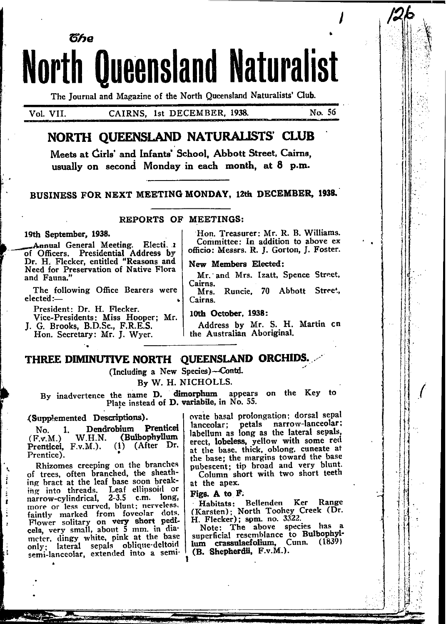The Journal and Magazine of the North Queensland Naturalists' Club.

**North Queensland Naturalist** 

Vol. VII.

**T**he

CAIRNS, 1st DECEMBER, 1938.

No. 56

# NORTH QUEENSLAND NATURALISTS' CLUB

Meets at Girls' and Infants' School, Abbott Street, Cairns, usually on second Monday in each month, at 8 p.m.

BUSINESS FOR NEXT MEETING MONDAY, 12th DECEMBER, 1938.

#### REPORTS OF MEETINGS:

#### 19th September, 1938.

Annual General Meeting. Electi. 1 of Officers. Presidential Address by<br>Dr. H. Flecker, entitled "Reasons and Need for Preservation of Native Flora and Fauna."

The following Office Bearers were elected:-

President: Dr. H. Flecker.

Vice-Presidents: Miss Hooper; Mr. J. G. Brooks, B.D.Sc., F.R.E.S.

Hon. Secretary: Mr. J. Wyer.

Hon. Treasurer: Mr. R. B. Williams. Committee: In addition to above ex officio: Messrs. R. J. Gorton, J. Foster.

#### New Members Elected:

Mr. and Mrs. Izatt. Spence Street, Cairns.

Runcie. 70 Abbott Street, Mrs. Cairns.

10th October, 1938:

Address by Mr. S. H. Martin cn the Australian Aboriginal.

## THREE DIMINUTIVE NORTH QUEENSLAND ORCHIDS.

(Including a New Species)-Contd.

By W. H. NICHOLLS.

By inadvertence the name D. dimorphum appears on the Key to Plate instead of D. variabile, in No. 55.

#### (Supplemented Descriptions).

Dendrobium Prenticei No. 1. W.H.N. (Bulbophyllum  $(F.v.M.)$ Prenticei, F.v.M.).  $(1)$  (After Dr. Prentice).

Rhizomes creeping on the branches of trees, often branched, the sheathing bract at the leaf base soon breaking into threads. Leaf ellipsoid or narrow-cylindrical, 2-3.5 c.m. long, more or less curved, blunt: nerveless, faintly marked from foveolar dots. Flower solitary on very short pedi-<br>Flower solitary on very short pedi-<br>meter, dingy white, pink at the base<br>only; lateral sepals oblique-deltoid<br>semi-lanceolar, extended into a semi-

 $\overline{\phantom{a}}$ 

ovate basal prolongation; dorsal sepal lanceolar; petals narrow-lanceolar; labellum as long as the lateral sepals, erect, lobeless, yellow with some red at the base, thick, oblong, cuneate at the base; the margins toward the base pubescent; tip broad and very blunt. Column short with two short teeth

at the apex.

#### Figs. A to F.

Habitats: Bellenden Ker Range<br>(Karsten); North Toohey Creek (Dr.<br>H. Flecker); som. no. 3322.

Note: The above species has a superficial resemblance to Bulbophyllum crassulaefolium, Cunn. (1839) (B. Shepherdii, F.v.M.).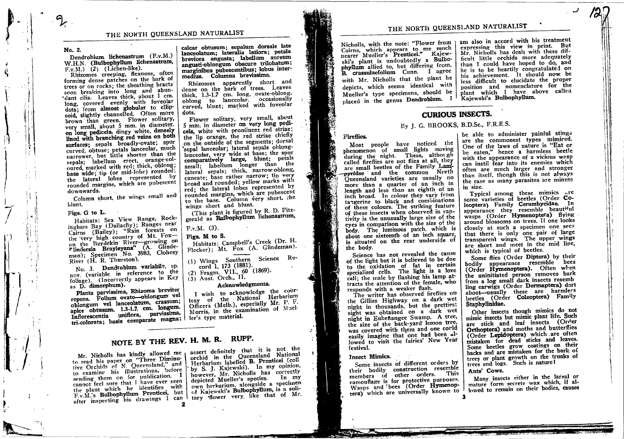## THE NORTH QUEENSLAND NATURALIST

#### No. 2.

Dendrobium lichenastrum (F.v.M.) W.H.N. (Bulbophyllum lichenastrum.  $F.v.M.)$  (2) (Lichen-like).

Rhizomes creeping, flexuose, often forming dense patches on the bark of trees or on rocks; the sheathing bracts soon breaking into long and abundant cilia. Leaves thick, about 1 cm. long, covered evenly with foveolar dots; from almost globular to ellipsoid, slightly channelled. Often more brown than green. Flower solitary, very small, about 5 mm. in diameter. on long pedicels, dingy white, densely lined with branching red veins on both surfaces; sepals broadly-ovate; spur curved, obtuse; petals lanceolar, much narrower, but little shorter than the sepals; labellum erect, orange-coloured, marked with red; thick, oblong; base wide; tip (or mid-lobe) rounded: the lateral lobes represented by rounded margins, which are pubescent downwards.

Column short, the wings small and blunt.

## Figs. G to L.

Habitats: Sea View Range, Rockingham Bay (Dallachy); Ranges near Cairns (Bailey); "Rain forests on the very high country of Mt. Foxon the Burdekin River-growing on Flindersia Brayleyana" (A. Glindeman); Specimen No. 3983, Clohesy<br>River (H. R. Thurston).

No. 3. Dendrobium variabile, sp. nov. (variable in reference to the foliage). (Incorrectly appears in Key as D. dimorphum).

Planta parvissima, Rhizoma breviter repens. Folium ovato-oblongum vel oblongum vel lanceolatum, crassum; apice obtusum. 1.3-1.7. cm. longum. Inflorescentia uniflora, parvissima, tri-colorata; basis comparate magna;

#### calcar obtusum; sepalum dorsale late lanceolatum; lateralia latiora; petala breviora angusta; labellum aureum angusti-oblongum obscure trilobatum; marginibus pubescentibus: lobus intermedius. Columna brevissima.

Rhizomes apparently short and dense on the bark of trees. Leaves thick, 1.3-1.7 cm. long, ovate-oblong. oblong to lanceolar. occasionally curved, blunt; marked with foveolar dots.

Flower solitary, very small, about 5 mm. in diameter on very long pedicels, white with prominent red striae; the lip orange, the red striae chiefly on the outside of the segments; dorsal sepal lanceolar; lateral sepals oblonglanceolar, very wide at base; the spur comparatively large, blunt; petals small; labellum longer than the lateral sepals; thick, narrow-oblong, cuneate; base rather narrow; tip very broad and rounded; yellow marks with red; the lateral lobes represented by rounded margins, which are pubescent to the base. Column very short, the wings short and blunt.

(This plant is figured by R. D. Fitzgerald as Bulbophyllum lichenastrum.

## $F.v.M.$  (3).

Figs. M to S.

Habitats: Campbell's Creek (Dr. H. Flecker); Mt. Fox (A. Glindeman).

(1) Wings Southern Science Record 1, 173 (1881).

(2) Fragm. VII., 60 (1869).

(3) Aust. Orch., II.

## Acknowledgments.

I wish to acknowledge the courtesy of the National Herbarium Officers (Melb.), especially Mr. P. F. Morris, in the examination of Mueller's type material.

# NOTE BY THE REV. H. M. R. RUPP.

Mr. Nicholls has kindly allowed me to read his paper on "Three Diminuto examine his illustrations, before sending them on for publication. 1 cannot feel sure that I have ever seen the plant which he identifies with F.v.M.'s Bulbophyllum Prenticei, but after inspecting his drawings I can  $\mathbf{z}$ 

assert definitely that it is not the orchid in the Queensland National Herbarium labelled B. Prenticei (coll. by S. J. Kajewski). In my opinion, however, Mr. Nicholls has correctly depicted Mueller's species. In my own herbarium, alongside a specimen of Kajewski's Bulbophyllum, is a solitary flower very, like that of Mr.

# THE NORTH QUEENSI.AND NATURALIST

Cairns, which appears to me much nearer Mueller's Prenticei." Kajewski's plant is undoubtedly a Bulbophyllum allied to, but differing from, B. crassulaefolium Cunn. I agree with Mr. Nicholls that the plant he depicts, which seems identical with Mueller's type specimens, should be placed in the genus Dendrobium. I

Nicholls, with the note: "Flower from | am also in accord with his treatment expressing this view in print. But Mr. Nicholls has dealt with these difficult little orchids more adequately than I could have hoped to do, and he is to be heartily congratulated on his achievement. It should now be less difficult to elucidate the proper position and nomenclature for the plant which I have above called Kajewski's Bulbophyllum.

# **CURIOUS INSECTS.**

## By J. G. BROOKS, B.D.Sc., F.R.E.S.

#### Fireflies.

Most people have noticed the phenomenon of small lights moving during the night. These, although called fireflies are not flies at all, they are small beetles of the Family Lampyridae and the common North Queensland varieties are usually no more than a quarter of an inch in length and less than an eighth of an inch broad. In colour they vary from tangerine to black and combinations of these colours. The striking feature of these insects when observed in captivity is the unusually large size of the eyes in comparison with the size of the body. The luminous patch, which is about one sixteenth of an inch square, is situated on the rear underside of the body.

Science has not revealed the cause of the light but it is believed to be due to the oxidation of fat in certain specialised cells. The light is a love call: the male by flashing his lamp attracts the attention of the female, who responds with a weaker flash.

The writer has observed fireflies on the Gillies Highway on a dark wet night in thousands, but the prettiest sight was obtained on a dark wet night in Eubenangee Swamp. A tree, the size of the back-yard lemon tree, was covered with them and one corld easily imagine that one had been allowed to visit the fairies' New Year festival.

#### **Insect Mimics.**

÷.

Some insects of different orders by their bodily construction resemble members of other orders. This camouflage is for protective purposes. Wasps and bees (Order Hymenoptera) which are universally known to

be able to administer painful stings are the commonest types mimiced. One of the laws of nature is "Eat or be eaten," hence a harmless beetle with the appearance of a vicious wasp can instil fear into its enemies which often are much larger and stronger than itself, though this is not always the case as many parasites are minute in size.

Typical among these mimics are some varieties of beetles (Order Coleoptera) Family Cerambycidae. In appearance they resemble beautiful wasps (Order Hymenoptera) flying around blossoms on trees. If one looks closely at such a specimen one secs that there is only one pair of large transparent wings. The upper wings are short and meet in the mid line, which is typical of beetles.

Some flies (Order Diptera) by their bodily appearance resemble bees (Order Hymenoptera). Often when the uninitiated person removes bark from a log small dark insects resemb ling earwigs (Order Dermaptera) dart about-usually these are harmlers beetles (Order Coleoptera) Family Staphylinidae.

Other insects though mimics do not mimic insects but mimic plant life. Such are stick and leaf insects (Order Orthoptera) and moths and butterflies (Order Lepidoptera) which are often mistaken for dead sticks and leaves. Some beetles grow coatings on their backs and are mistaken for the bark of trees or plant growth on the trunks of trees and logs. Such is nature!

Ants' Cows.

3

Many insects either in the larval or mature form secrete wax which, if allowed to remain on their bodies, causes